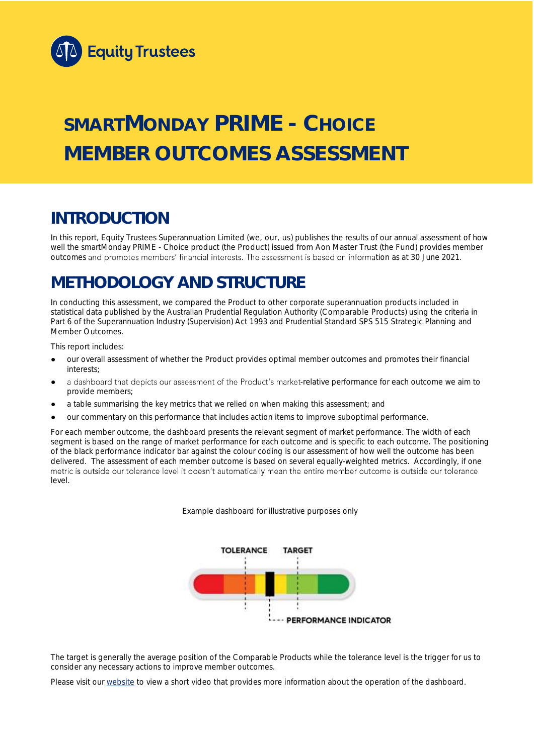

# **SMARTMONDAY PRIME - CHOICE MEMBER OUTCOMES ASSESSMENT**

## **INTRODUCTION**

In this report, Equity Trustees Superannuation Limited (we, our, us) publishes the results of our annual assessment of how well the smartMonday PRIME - Choice product (the Product) issued from Aon Master Trust (the Fund) provides member outcomes and promotes members' financial interests. The assessment is based on information as at 30 June 2021.

## **METHODOLOGY AND STRUCTURE**

In conducting this assessment, we compared the Product to other corporate superannuation products included in statistical data published by the Australian Prudential Regulation Authority (Comparable Products) using the criteria in Part 6 of the *Superannuation Industry (Supervision) Act 1993* and Prudential Standard SPS 515 *Strategic Planning and Member Outcomes*.

This report includes:

- our overall assessment of whether the Product provides optimal member outcomes and promotes their financial interests;
- a dashboard that depicts our assessment of the Product's market-relative performance for each outcome we aim to provide members;
- a table summarising the key metrics that we relied on when making this assessment; and
- our commentary on this performance that includes action items to improve suboptimal performance.

For each member outcome, the dashboard presents the relevant segment of market performance. The width of each segment is based on the range of market performance for each outcome and is specific to each outcome. The positioning of the black performance indicator bar against the colour coding is our assessment of how well the outcome has been delivered. The assessment of each member outcome is based on several equally-weighted metrics. Accordingly, if one<br>metric is outside our tolerance level it doesn't automatically mean the entire member outcome is outside ou level.

*Example dashboard for illustrative purposes only*



The target is generally the average position of the Comparable Products while the tolerance level is the trigger for us to consider any necessary actions to improve member outcomes.

Please visit our [website](https://www.eqt.com.au/superannuation) to view a short video that provides more information about the operation of the dashboard.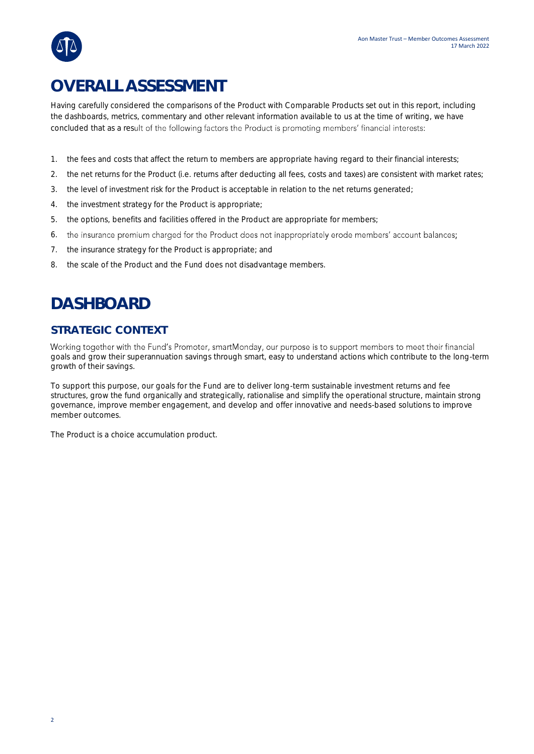## **OVERALL ASSESSMENT**

Having carefully considered the comparisons of the Product with Comparable Products set out in this report, including the dashboards, metrics, commentary and other relevant information available to us at the time of writing, we have concluded that as a result of the following factors the Product is promoting members' financial interests:

- 1. the fees and costs that affect the return to members are appropriate having regard to their financial interests;
- 2. the net returns for the Product (i.e. returns after deducting all fees, costs and taxes) are consistent with market rates;
- 3. the level of investment risk for the Product is acceptable in relation to the net returns generated;
- 4. the investment strategy for the Product is appropriate;
- 5. the options, benefits and facilities offered in the Product are appropriate for members;
- 6. the insurance premium charged for the Product does not inappropriately erode members' account balances;
- 7. the insurance strategy for the Product is appropriate; and
- 8. the scale of the Product and the Fund does not disadvantage members.

## **DASHBOARD**

### **STRATEGIC CONTEXT**

Working together with the Fund's Promoter, smartMonday, our purpose is to support members to meet their financial goals and grow their superannuation savings through smart, easy to understand actions which contribute to the long-term growth of their savings.

To support this purpose, our goals for the Fund are to deliver long-term sustainable investment returns and fee structures, grow the fund organically and strategically, rationalise and simplify the operational structure, maintain strong governance, improve member engagement, and develop and offer innovative and needs-based solutions to improve member outcomes.

The Product is a choice accumulation product.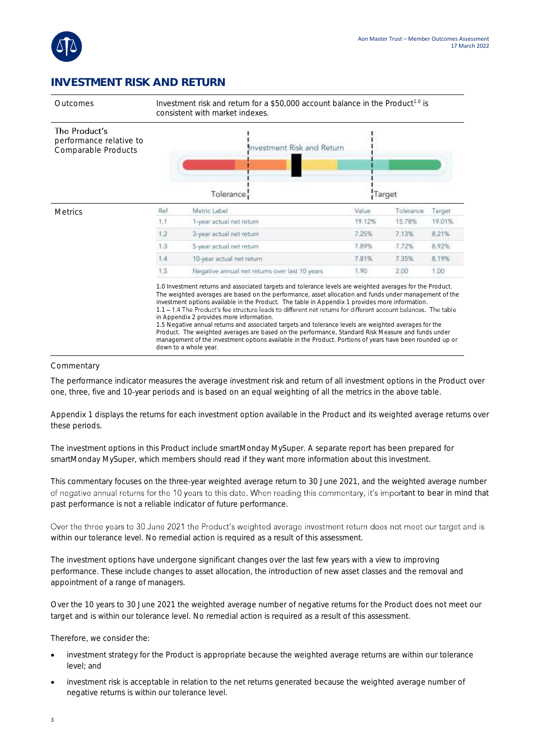

## **INVESTMENT RISK AND RETURN**



Outcomes Investment risk and return for a \$50,000 account balance in the Product<sup>1.0</sup> is consistent with market indexes.

| The Product's<br>performance relative to<br>Comparable Products | Investment Risk and Return |                                                                                                                                                                                                                                                                                                                                                                                                                                                                                                                                                                                                                                                                                                                                                                                                                                          |        |           |        |  |  |
|-----------------------------------------------------------------|----------------------------|------------------------------------------------------------------------------------------------------------------------------------------------------------------------------------------------------------------------------------------------------------------------------------------------------------------------------------------------------------------------------------------------------------------------------------------------------------------------------------------------------------------------------------------------------------------------------------------------------------------------------------------------------------------------------------------------------------------------------------------------------------------------------------------------------------------------------------------|--------|-----------|--------|--|--|
|                                                                 |                            | Tolerance                                                                                                                                                                                                                                                                                                                                                                                                                                                                                                                                                                                                                                                                                                                                                                                                                                | Target |           |        |  |  |
| <b>Metrics</b>                                                  | Ref                        | Metric Label                                                                                                                                                                                                                                                                                                                                                                                                                                                                                                                                                                                                                                                                                                                                                                                                                             | Value  | Tolerance | Target |  |  |
|                                                                 | 1:1                        | 1-year actual net return                                                                                                                                                                                                                                                                                                                                                                                                                                                                                                                                                                                                                                                                                                                                                                                                                 | 19.12% | 15.78%    | 19.01% |  |  |
|                                                                 | 1,2                        | 3-year actual net return                                                                                                                                                                                                                                                                                                                                                                                                                                                                                                                                                                                                                                                                                                                                                                                                                 | 7.25%  | 7.13%     | 8.21%  |  |  |
|                                                                 | 1.3.                       | 5-year actual net return                                                                                                                                                                                                                                                                                                                                                                                                                                                                                                                                                                                                                                                                                                                                                                                                                 | 7.89%  | 7.72%     | 8.92%  |  |  |
|                                                                 | 1.4                        | 10-year actual net return                                                                                                                                                                                                                                                                                                                                                                                                                                                                                                                                                                                                                                                                                                                                                                                                                | 7.81%  | 7.35%     | 8.19%  |  |  |
|                                                                 | 1.5                        | Negative annual net returns over last 10 years                                                                                                                                                                                                                                                                                                                                                                                                                                                                                                                                                                                                                                                                                                                                                                                           | 1.90   | 2.00      | 1.00   |  |  |
|                                                                 |                            | 1.0 Investment returns and associated targets and tolerance levels are weighted averages for the Product.<br>The weighted averages are based on the performance, asset allocation and funds under management of the<br>investment options available in the Product. The table in Appendix 1 provides more information.<br>1.1 – 1.4 The Product's fee structure leads to different net returns for different account balances. The table<br>in Appendix 2 provides more information.<br>1.5 Negative annual returns and associated targets and tolerance levels are weighted averages for the<br>Product. The weighted averages are based on the performance, Standard Risk Measure and funds under<br>management of the investment options available in the Product. Portions of years have been rounded up or<br>down to a whole year. |        |           |        |  |  |

#### Commentary

The performance indicator measures the average investment risk and return of all investment options in the Product over one, three, five and 10-year periods and is based on an equal weighting of all the metrics in the above table.

Appendix 1 displays the returns for each investment option available in the Product and its weighted average returns over these periods.

The investment options in this Product include smartMonday MySuper. A separate report has been prepared for smartMonday MySuper, which members should read if they want more information about this investment.

This commentary focuses on the three-year weighted average return to 30 June 2021, and the weighted average number of negative annual returns for the 10 years to this date. When reading this commentary, it's important to bear in mind that past performance is not a reliable indicator of future performance.

Over the three years to 30 June 2021 the Product's weighted average investment return does not meet our target and is within our tolerance level. No remedial action is required as a result of this assessment.

The investment options have undergone significant changes over the last few years with a view to improving performance. These include changes to asset allocation, the introduction of new asset classes and the removal and appointment of a range of managers.

Over the 10 years to 30 June 2021 the weighted average number of negative returns for the Product does not meet our target and is within our tolerance level. No remedial action is required as a result of this assessment.

Therefore, we consider the:

- investment strategy for the Product is appropriate because the weighted average returns are within our tolerance level; and
- investment risk is acceptable in relation to the net returns generated because the weighted average number of negative returns is within our tolerance level.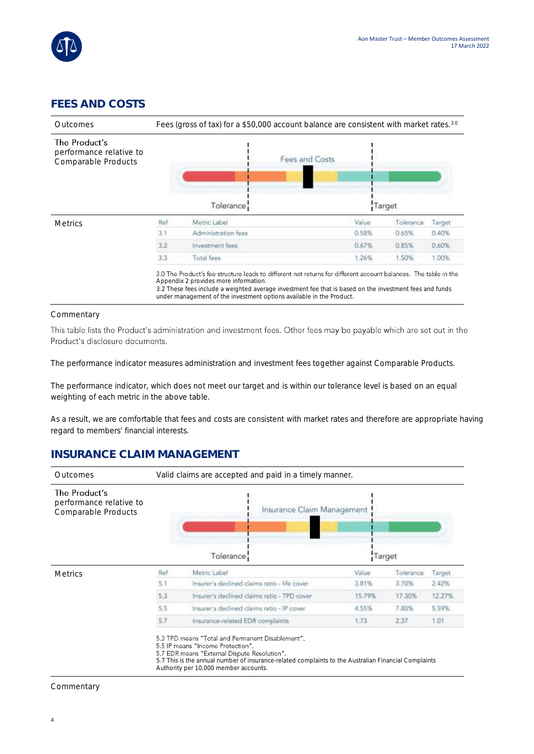

## **FEES AND COSTS**



#### Commentary

This table lists the Product's administration and investment fees. Other fees may be payable which are set out in the Product's disclosure documents.

The performance indicator measures administration and investment fees together against Comparable Products.

The performance indicator, which does not meet our target and is within our tolerance level is based on an equal weighting of each metric in the above table.

As a result, we are comfortable that fees and costs are consistent with market rates and therefore are appropriate having regard to members' financial interests.

### **INSURANCE CLAIM MANAGEMENT**



#### **Commentary**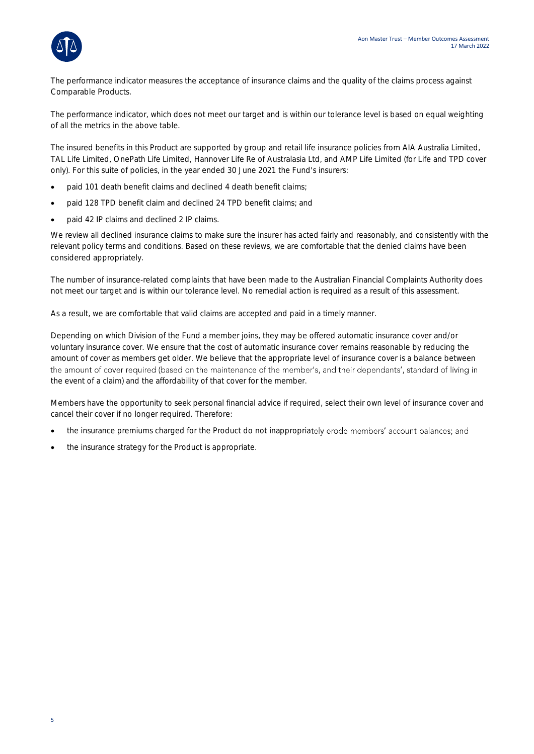

The performance indicator measures the acceptance of insurance claims and the quality of the claims process against Comparable Products.

The performance indicator, which does not meet our target and is within our tolerance level is based on equal weighting of all the metrics in the above table.

The insured benefits in this Product are supported by group and retail life insurance policies from AIA Australia Limited, TAL Life Limited, OnePath Life Limited, Hannover Life Re of Australasia Ltd, and AMP Life Limited (for Life and TPD cover only). For this suite of policies, in the year ended 30 June 2021 the Fund's insurers:

- paid 101 death benefit claims and declined 4 death benefit claims;
- paid 128 TPD benefit claim and declined 24 TPD benefit claims; and
- paid 42 IP claims and declined 2 IP claims.

We review all declined insurance claims to make sure the insurer has acted fairly and reasonably, and consistently with the relevant policy terms and conditions. Based on these reviews, we are comfortable that the denied claims have been considered appropriately.

The number of insurance-related complaints that have been made to the Australian Financial Complaints Authority does not meet our target and is within our tolerance level. No remedial action is required as a result of this assessment.

As a result, we are comfortable that valid claims are accepted and paid in a timely manner.

Depending on which Division of the Fund a member joins, they may be offered automatic insurance cover and/or voluntary insurance cover. We ensure that the cost of automatic insurance cover remains reasonable by reducing the amount of cover as members get older. We believe that the appropriate level of insurance cover is a balance between the amount of cover required (based on the maintenance of the member's, and their dependants', standard of living in the event of a claim) and the affordability of that cover for the member.

Members have the opportunity to seek personal financial advice if required, select their own level of insurance cover and cancel their cover if no longer required. Therefore:

- the insurance premiums charged for the Product do not inappropriately erode members' account balances; and
- the insurance strategy for the Product is appropriate.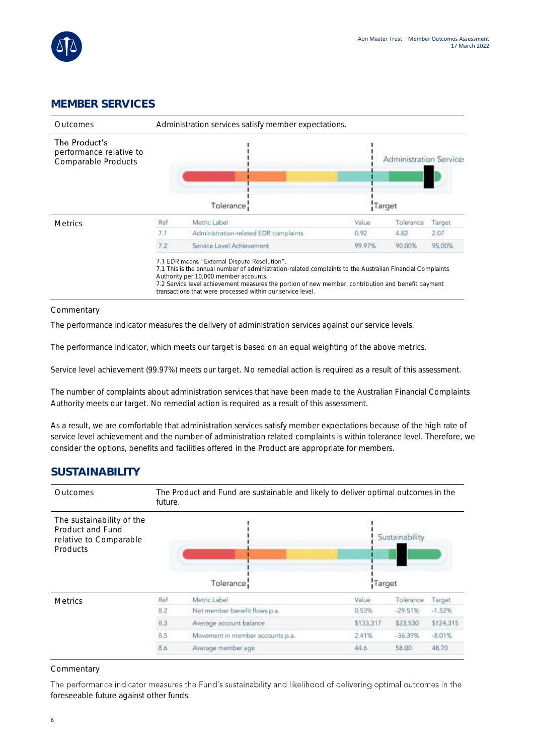

### **MEMBER SERVICES**



#### Commentary

The performance indicator measures the delivery of administration services against our service levels.

The performance indicator, which meets our target is based on an equal weighting of the above metrics.

Service level achievement (99.97%) meets our target. No remedial action is required as a result of this assessment.

The number of complaints about administration services that have been made to the Australian Financial Complaints Authority meets our target. No remedial action is required as a result of this assessment.

As a result, we are comfortable that administration services satisfy member expectations because of the high rate of service level achievement and the number of administration related complaints is within tolerance level. Therefore, we consider the options, benefits and facilities offered in the Product are appropriate for members.

### **SUSTAINABILITY**



#### Commentary

The performance indicator measures the Fund's sustainability and likelihood of delivering optimal outcomes in the foreseeable future against other funds.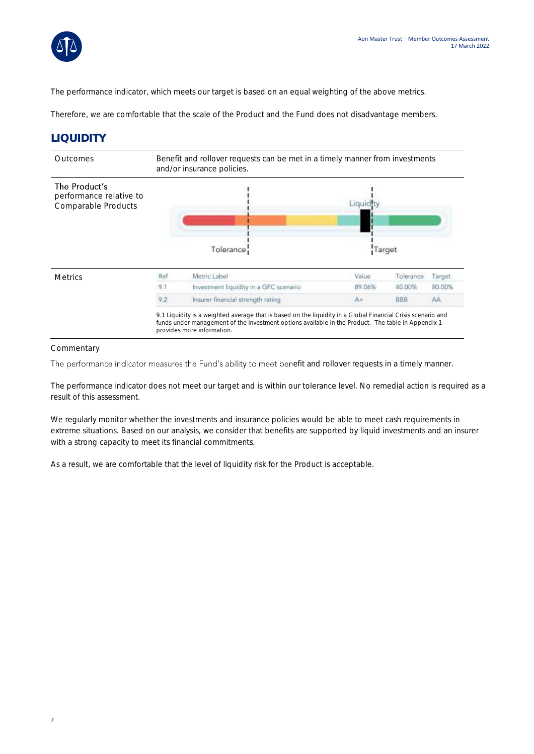

The performance indicator, which meets our target is based on an equal weighting of the above metrics.

Therefore, we are comfortable that the scale of the Product and the Fund does not disadvantage members.

### **LIQUIDITY**



#### Commentary

The performance indicator measures the Fund's ability to meet benefit and rollover requests in a timely manner.

The performance indicator does not meet our target and is within our tolerance level. No remedial action is required as a result of this assessment.

We regularly monitor whether the investments and insurance policies would be able to meet cash requirements in extreme situations. Based on our analysis, we consider that benefits are supported by liquid investments and an insurer with a strong capacity to meet its financial commitments.

As a result, we are comfortable that the level of liquidity risk for the Product is acceptable.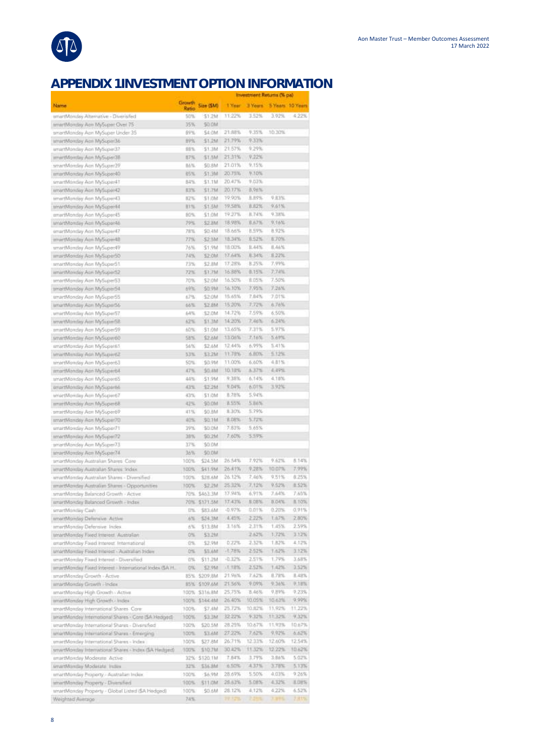

## **APPENDIX 1 INVESTMENT OPTION INFORMATION**

|                                                                                                      |                 |                     |                       |                | myeannent waturns the bay |                         |  |
|------------------------------------------------------------------------------------------------------|-----------------|---------------------|-----------------------|----------------|---------------------------|-------------------------|--|
| Name                                                                                                 | Growth<br>Ratio | Size (\$M)          | 1-Year                |                | 3 Years 5 Years 10 Years  |                         |  |
| smartMonday Attemative - Diversifed                                                                  | 50%             | 51.2M               | 11.22%                | 3.52%          | 3.92%                     | 4.22%                   |  |
| amartMonday Aon MySoper Over 75                                                                      | 35%             | 50 OM               |                       |                |                           |                         |  |
| smartMonday Apri MySuper Under 35                                                                    | 09%             | S4.0M               | 21.88%<br>21.79%      | 9.35%<br>9.33% | 10.30%                    |                         |  |
| amartMonday Ace MySoper36<br>smartMonday Aon MySuper37                                               | 明海<br>98%       | \$1.2M<br>\$1.3M    | 21.57%                | 9:29%          |                           |                         |  |
| wnwrtMomday Aon MySuper3E                                                                            | 17%             | 51.5M               | 21.31%                | 9.22%          |                           |                         |  |
| smartMonday Agr. MySuper39                                                                           | 肺系              | SG:BM               | 21.01%                | 9.15%          |                           |                         |  |
| smartMonday Agn MySoper40                                                                            | 邮车              | 51.3M               | 20.75%                | 9.10%          |                           |                         |  |
| smartMonday Aon MySoper41                                                                            | 84%             | \$1.1M              | 20.47%                | 9.03%          |                           |                         |  |
| emartMonday Aon MySuper42                                                                            | 83%             | STITM               | 20.17%                | 日、9点%          |                           |                         |  |
| Ehrechfonday Ann MySuper43                                                                           | 胶生              | \$1.0M              | 19,90%                | 且用学院           | 9月3%                      |                         |  |
| smartMonday Agn MySoper44                                                                            | 日生              | S1 5M               | 19.58%                | 8.62%          | 9.61%                     |                         |  |
| smartMonday Aon MySuper45                                                                            | 80%             | 51.OM               | 19.27%                | 8.74%          | 9.38%                     |                         |  |
| unarthronday Apri MySoper46                                                                          | 29%             | \$2.8M              | 18.98%                | <b>自由7%</b>    | 9.16%                     |                         |  |
| emartMonday Aon MySuper47                                                                            | 刀匹瓦<br>77%      | MF.02               | 18.66%<br>18,34%      | 机压炉泵<br>0.52%  | 8.92%<br>8:70%            |                         |  |
| martMonday Acn MySoper48<br>smartfidanday Aan MySuper49                                              | 76%             | \$2,5M<br>\$1.9M    | 18.00%                | 1.44%          | 8.46%                     |                         |  |
| amartMonday Agri MySuper50                                                                           | 74%             | \$2.0M              | 17.64%                | 8:34%          | 8.22%                     |                         |  |
| smaithRonday Aon MySuperS1                                                                           | 23%             | 52.8M               | 17.28%                | 8.25%          | 7.99%                     |                         |  |
| emartMonday Aon MySuperS2                                                                            | 72%             | \$1,758             | 16.88%                | 0.15%          | 7,74%                     |                         |  |
| smartMonday Aan MySuperS3                                                                            | 70%             | \$2.0M              | 16,50%                | 1.05%          | 7.50%                     |                         |  |
| enartMonday Aon MySuper54                                                                            | 69%             | 50.9M               | 16.10%                | 7.95%          | 7.26%                     |                         |  |
| smartMonday Acin MySuper55                                                                           | 67%             | \$2.0M              | 15.65%                | 7.84%          | 7.01%                     |                         |  |
| amartMonday Aon MySuperS6                                                                            | 66%             | 52.8M               | 15.20%                | 7.72%          | 6.78%                     |                         |  |
| writeHonday Aon MySuperS7                                                                            | 64%             | \$2.0M              | 14.72%                | 7.59%          | 6:50%                     |                         |  |
| smartMonday Aon MySuperSB                                                                            | 帮助              | \$1.3M              | 14:20%                | 7.46%          | 6.24%                     |                         |  |
| smartMonday Agn MySoperS9                                                                            | 60%             | \$1.0M              | 13.65%                | 7.31%          | 5.97%                     |                         |  |
| smartMonday Aon MySuper60                                                                            | 58%             | \$2.6M              | 13.06%<br>12,44%      | 7:16%<br>6.99% | 5.69%<br>5.41%            |                         |  |
| smartMonday Aon MySoper&1<br>smartMonday Aon MySuper62                                               | 56%<br>53%      | \$2,6M<br>53.2M     | 11.78%                | 支出区%           | 5.12%                     |                         |  |
| smartfiforiday Aon MySuper63                                                                         | 50%             | \$0.9M              | 11.00%                | 6.60%          | 4.81%                     |                         |  |
| martMonday Aon MySuperbil                                                                            | 47%             | <b>SO-RM</b>        | 10.18%                | 4.37%          | 4,49%                     |                         |  |
| smartMonday Aon MySuper65                                                                            | 44%             | \$1.9M              | 9,38%                 | 6,14%          | 4.18%                     |                         |  |
| smartfilonday Aon MySuper66                                                                          | 43%             | \$2.2M              | 9.04%                 | 6.01%          | 3.92%                     |                         |  |
| emartMonday Aon MySuper67                                                                            | 归生              | 51.0M               | 8.78%                 | 5.94%          |                           |                         |  |
| smartManday Aan MySuperió®                                                                           | 唱写              | SO.OM               | 8.55%                 | 5.86%          |                           |                         |  |
| smirtMorrday Acm MySuper69                                                                           | 归生              | \$0.8M              | B.30%                 | 5.79%          |                           |                         |  |
| smartManday Aan MySuper7D                                                                            | 40%             | 50.1M               | 8.08%                 | 5.72%          |                           |                         |  |
| smartMonday Aon MySuper71                                                                            | 39%             | \$0.0M              | 7.83%                 | 5.65%          |                           |                         |  |
| smartMonday Aon MySoper72                                                                            | 38%             | \$0.2M              | 7.60%                 | 5.59%          |                           |                         |  |
| smartMonday Aon MySuper73                                                                            | 37%             | \$0.0M              |                       |                |                           |                         |  |
| smartMonday.Aon MySuper74<br>smartMonday Australian Shares Core                                      | 36%<br>100%     | \$0.0M<br>\$24.5M   | 26.54%                | 7.92%          | 9.62%                     | 8.14%                   |  |
| wrartMonday Australian Strates Todes                                                                 | 100%            | \$41.9M             | 26.41%                | 9,28%          | 10.07%                    | 7.99%                   |  |
| smartMonday Australian Shares - Diversified                                                          | 100%            | Ma.BS2              | 26.12%                | 7.46%          | 9.51%                     | 8.25%                   |  |
| smartMonday Australian Shares - Opportunities                                                        | 100%            | \$2.2M              | 25.32%                | 7.12%          | 9.62%                     | 8.52%                   |  |
| smartMonday Balanced Growth - Active                                                                 |                 | 70% \$463.3M        | 37.94%                | 6.91%          | 7.64%                     | 7,65%                   |  |
| smartMonday Balanced Growth - Index                                                                  |                 | 70% 5171.5M         | 17.43%                | 8.08%          | 8.04%                     | 8.10%                   |  |
| smartMonday Cash                                                                                     | 拙               | \$83.6M             | $-0.97%$              | 0.01%          | $0.20\%$                  | 0.91%                   |  |
| smartMonday Defensive Active                                                                         | 0.76            | \$24.3M             | 1,49%                 | 2,22%          | Lh7%                      | 2,80%                   |  |
| amartMonday Defensive Index.                                                                         | 656             | \$13.BM             | 3.16%                 | 2,31%          | 1,45%                     | 2.59%                   |  |
| smartMonday Flood Interest Australian                                                                | D%              | \$3.2M              |                       | 2,62%          | 1:72%                     | $3.12\%$                |  |
| smartMonday Fored Interest. International                                                            | 176.            | \$2.9M              | 0.22%                 | 2.32%          | 1.82%                     | 4.12%                   |  |
| smartMonday Fixed Interest - Australian Index                                                        | 0%              | 55.6M               | $+1.78%$              | 2.52%          | 1.62%                     | 3,12%                   |  |
| ersetMonday Fixed Interest - Diversified<br>emartMonday Fixed Interest - Interrutional Index (\$A H. | 得落<br>0%        | \$11.2M<br>\$2.9M   | $-0.12\%$<br>$-1.18%$ | 2.51%<br>2.52% | 1.79%<br>1,42%            | 3.68%<br>3:5256         |  |
| smartMonday Growth - Active                                                                          |                 | 85% \$209,8M        | 21.96%                | 7.62%          | 8.78%                     | 8,48%                   |  |
| smartWorday Growth -Index                                                                            |                 | <b>BS% \$109.6M</b> | 21.56%                | 9.09%          | 9:36%                     | 9.18%                   |  |
| amarth6onday High Growth - Active                                                                    |                 | 100% \$316.BM       | 25,75%                | 8.46%          | 4.86%                     | 9.23%                   |  |
| emartMonday High Growth - Index                                                                      |                 | 100% 5144.4M        | 26.40%                | 10.05%         | 10,63%                    | 9,99%                   |  |
| smartMonday.International.Shares: Core                                                               | 100%            | <b>S7.4M</b>        | 25.72%                | 10.82%         | 11.92%                    | 11.22%                  |  |
| smartMonday International Shares - Core ISA Hedged)                                                  | 100%            | \$3.3M              | 32.22%                | 932%           | 11:32%                    | 9,32%                   |  |
| unartMonday International Shares - Diversified                                                       | 100%            | \$20.5M             | 28.25%                | 10:67%         | 11,93%                    | 10.67%                  |  |
| smartMonday International Shares - Emerging                                                          | 100%            | MAEZ                | 27.22%                | 7.62%          | 9.92%                     | 6.62%                   |  |
| smartMonday International Shares - Index                                                             | 100%            | \$27.8M             | 26.71%                | 12.33%         | 12.60%                    | 12.54%                  |  |
| smartMonday International Shares - Index GA Hedged)                                                  | 100%            | \$10.7M             | 30.42%                | 11.32%         | 12.22%                    | 10.62%                  |  |
| smartMonday Moderate Active                                                                          |                 | 32% 5120.1M         | 7.54%                 | 3.79%          | 3:86%                     | 5.02%                   |  |
| smartMonday Moderate Index                                                                           | 32%             | \$36.8M             | <b>A.10%</b>          | 4.37%          | 3.78%                     | 5.13%                   |  |
| emartMonday Property - Australian Indian                                                             |                 |                     |                       |                |                           |                         |  |
|                                                                                                      | 100%            | 56.9M               | 28,69%                | 5.50%          | 4.03%                     |                         |  |
| smartMonday Property - Diversified<br>smartMonday Property - Global Listed (\$A Hedged)              | 100%<br>100%    | 511.0M<br>\$0.6M    | 28.63%<br>28.12%      | 5.08%<br>4,12% | 4.32%<br>4,22%            | 9.26%<br>8.08%<br>6:52% |  |